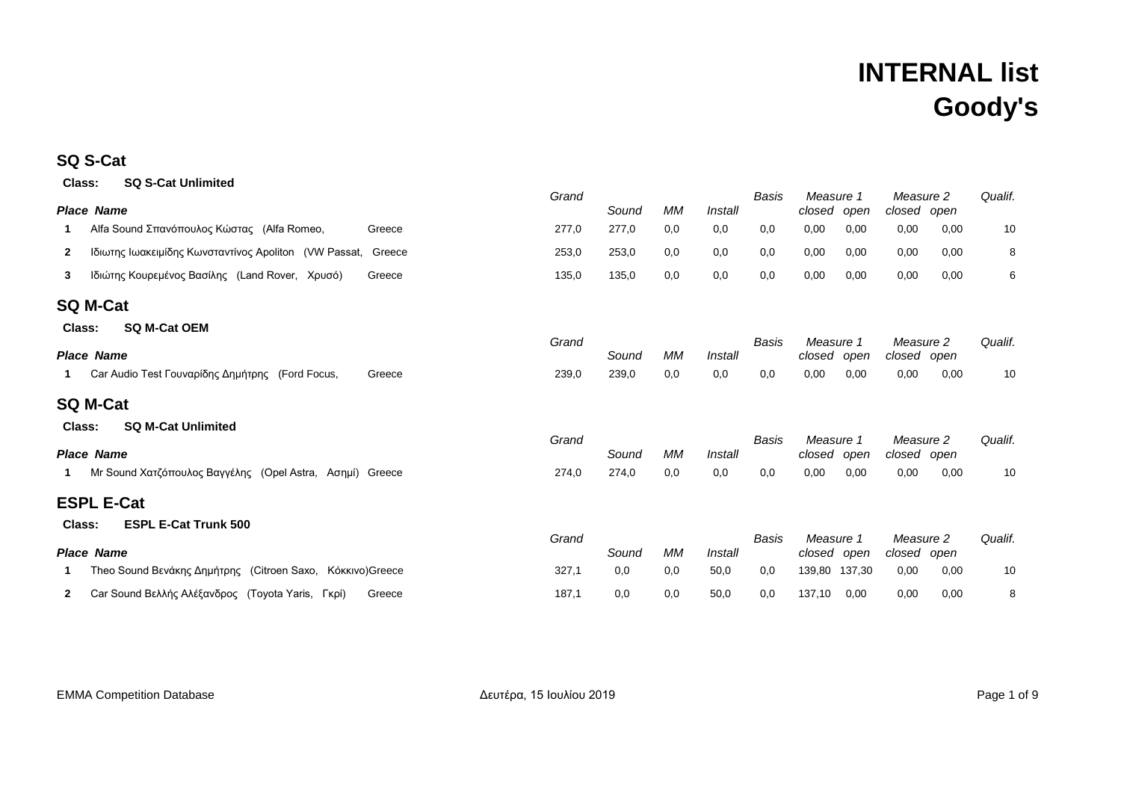### **SQ S-Cat**

| Class:       | <b>SQ S-Cat Unlimited</b>                                    |        | Grand |       |           |         | <b>Basis</b> | Measure 1                |      |                          |      | Qualif. |
|--------------|--------------------------------------------------------------|--------|-------|-------|-----------|---------|--------------|--------------------------|------|--------------------------|------|---------|
|              | Place Name                                                   |        |       | Sound | <b>MM</b> | Install |              | closed open              |      | Measure 2<br>closed open |      |         |
| 1            | Alfa Sound Σπανόπουλος Κώστας (Alfa Romeo,                   | Greece | 277,0 | 277,0 | 0,0       | 0,0     | 0,0          | 0,00                     | 0,00 | 0,00                     | 0,00 | 10      |
| $\mathbf{2}$ | Ιδιωτης Ιωακειμίδης Κωνσταντίνος Apoliton (VW Passat, Greece |        | 253,0 | 253,0 | 0,0       | 0,0     | 0,0          | 0,00                     | 0,00 | 0,00                     | 0,00 | 8       |
| 3            | Ιδιώτης Κουρεμένος Βασίλης (Land Rover, Χρυσό)               | Greece | 135,0 | 135,0 | 0,0       | 0,0     | 0,0          | 0,00                     | 0,00 | 0,00                     | 0,00 | 6       |
|              | SQ M-Cat                                                     |        |       |       |           |         |              |                          |      |                          |      |         |
| Class:       | <b>SQ M-Cat OEM</b>                                          |        |       |       |           |         |              |                          |      |                          |      |         |
|              | Place Name                                                   |        | Grand | Sound | <b>MM</b> | Install | <b>Basis</b> | Measure 1<br>closed open |      | Measure 2<br>closed open |      | Qualif. |
| 1.           | Car Audio Test Γουναρίδης Δημήτρης (Ford Focus,              | Greece | 239,0 | 239,0 | 0,0       | 0,0     | 0,0          | 0,00                     | 0,00 | 0,00                     | 0,00 | 10      |
|              | SQ M-Cat                                                     |        |       |       |           |         |              |                          |      |                          |      |         |
| Class:       | <b>SQ M-Cat Unlimited</b>                                    |        |       |       |           |         |              |                          |      |                          |      |         |
|              | <b>Place Name</b>                                            |        | Grand | Sound | МM        | Install | Basis        | Measure 1<br>closed open |      | Measure 2<br>closed open |      | Qualif. |
| 1.           | Mr Sound Χατζόπουλος Βαγγέλης (Opel Astra, Ασημί) Greece     |        | 274,0 | 274,0 | 0,0       | 0,0     | 0,0          | 0,00                     | 0,00 | 0,00                     | 0,00 | 10      |
|              | ESPL E-Cat                                                   |        |       |       |           |         |              |                          |      |                          |      |         |
| Class:       | <b>ESPL E-Cat Trunk 500</b>                                  |        |       |       |           |         |              |                          |      |                          |      |         |
|              | Place Name                                                   |        | Grand | Sound | МM        | Install | Basis        | Measure 1<br>closed open |      | Measure 2<br>closed open |      | Qualif. |
| 1            | Theo Sound Βενάκης Δημήτρης (Citroen Saxo, Κόκκινο) Greece   |        | 327,1 | 0,0   | 0,0       | 50,0    | 0,0          | 139,80 137,30            |      | 0,00                     | 0,00 | 10      |
| 2            | Car Sound Βελλής Αλέξανδρος (Toyota Yaris, Γκρί)             | Greece | 187,1 | 0,0   | 0,0       | 50,0    | 0,0          | 137,10                   | 0,00 | 0,00                     | 0,00 | 8       |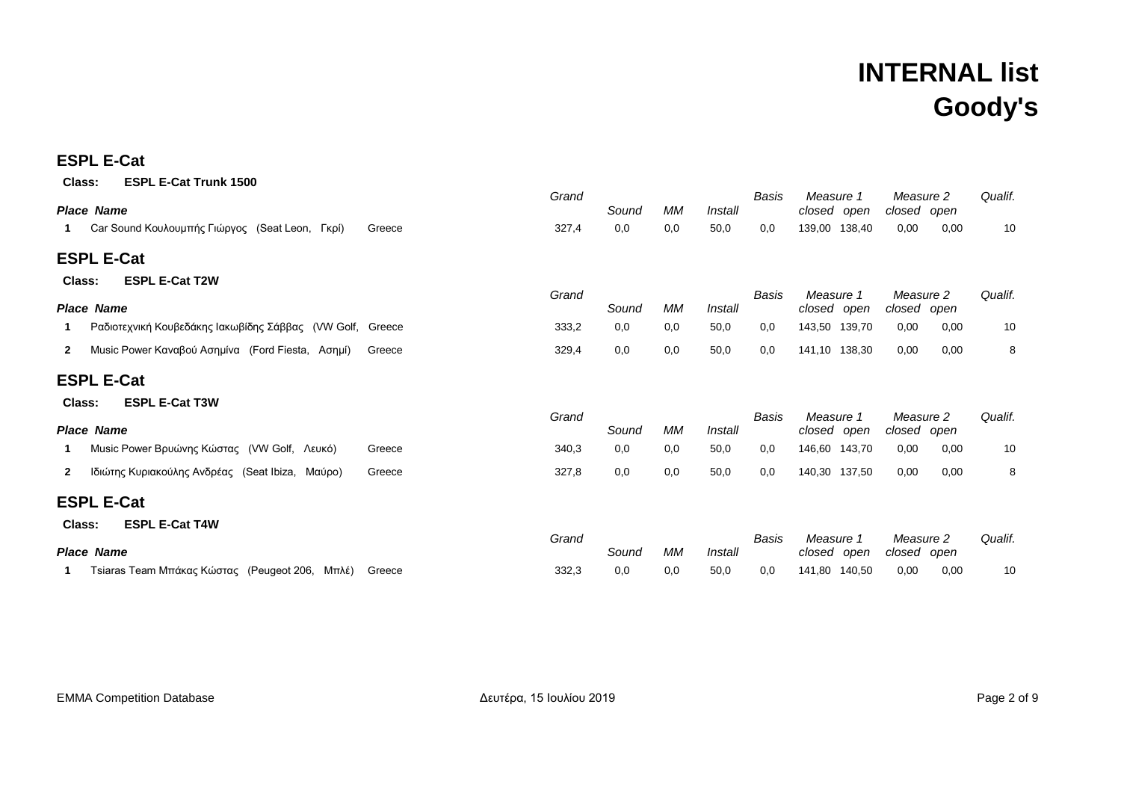### **ESPL E-Cat**

| <b>ESPL E-Cat Trunk 1500</b><br>Class:                                     | Grand |       |     |         | Basis | Measure 1                | Measure 2                | Qualif. |
|----------------------------------------------------------------------------|-------|-------|-----|---------|-------|--------------------------|--------------------------|---------|
| <b>Place Name</b>                                                          |       | Sound | МM  | Install |       | closed open              | closed open              |         |
| Car Sound Κουλουμπής Γιώργος (Seat Leon, Γκρί)<br>Greece                   | 327,4 | 0,0   | 0,0 | 50,0    | 0,0   | 139,00 138,40            | 0,00<br>0,00             | 10      |
| <b>ESPL E-Cat</b>                                                          |       |       |     |         |       |                          |                          |         |
| <b>ESPL E-Cat T2W</b><br>Class:                                            |       |       |     |         |       |                          |                          |         |
| <b>Place Name</b>                                                          | Grand | Sound | МM  | Install | Basis | Measure 1<br>closed open | Measure 2<br>closed open | Qualif. |
| Ραδιοτεχνική Κουβεδάκης Ιακωβίδης Σάββας (VW Golf, Greece                  | 333,2 | 0,0   | 0,0 | 50,0    | 0,0   | 143,50 139,70            | 0,00<br>0,00             | 10      |
| Music Power Καναβού Ασημίνα (Ford Fiesta, Ασημί)<br>$\mathbf{2}$<br>Greece | 329,4 | 0,0   | 0,0 | 50,0    | 0,0   | 141,10 138,30            | 0,00<br>0,00             | 8       |
| <b>ESPL E-Cat</b>                                                          |       |       |     |         |       |                          |                          |         |
| <b>ESPL E-Cat T3W</b><br>Class:                                            |       |       |     |         |       |                          |                          |         |
| <b>Place Name</b>                                                          | Grand | Sound | МM  | Install | Basis | Measure 1<br>closed open | Measure 2<br>closed open | Qualif. |
| Music Power Βρυώνης Κώστας (VW Golf, Λευκό)<br>Greece<br>1                 | 340,3 | 0,0   | 0,0 | 50,0    | 0,0   | 146,60 143,70            | 0,00<br>0,00             | 10      |
| Ιδιώτης Κυριακούλης Ανδρέας (Seat Ibiza, Μαύρο)<br>$\mathbf{2}$<br>Greece  | 327,8 | 0,0   | 0,0 | 50,0    | 0,0   | 140,30 137,50            | 0,00<br>0,00             | 8       |
| <b>ESPL E-Cat</b>                                                          |       |       |     |         |       |                          |                          |         |
| <b>ESPL E-Cat T4W</b><br>Class:                                            |       |       |     |         |       |                          |                          |         |
| <b>Place Name</b>                                                          | Grand | Sound | МM  | Install | Basis | Measure 1<br>closed open | Measure 2<br>closed open | Qualif. |
| Tsiaras Team Μπάκας Κώστας (Peugeot 206,<br>Μπλέ)<br>Greece                | 332,3 | 0,0   | 0,0 | 50,0    | 0,0   | 141,80 140,50            | 0,00<br>0,00             | 10      |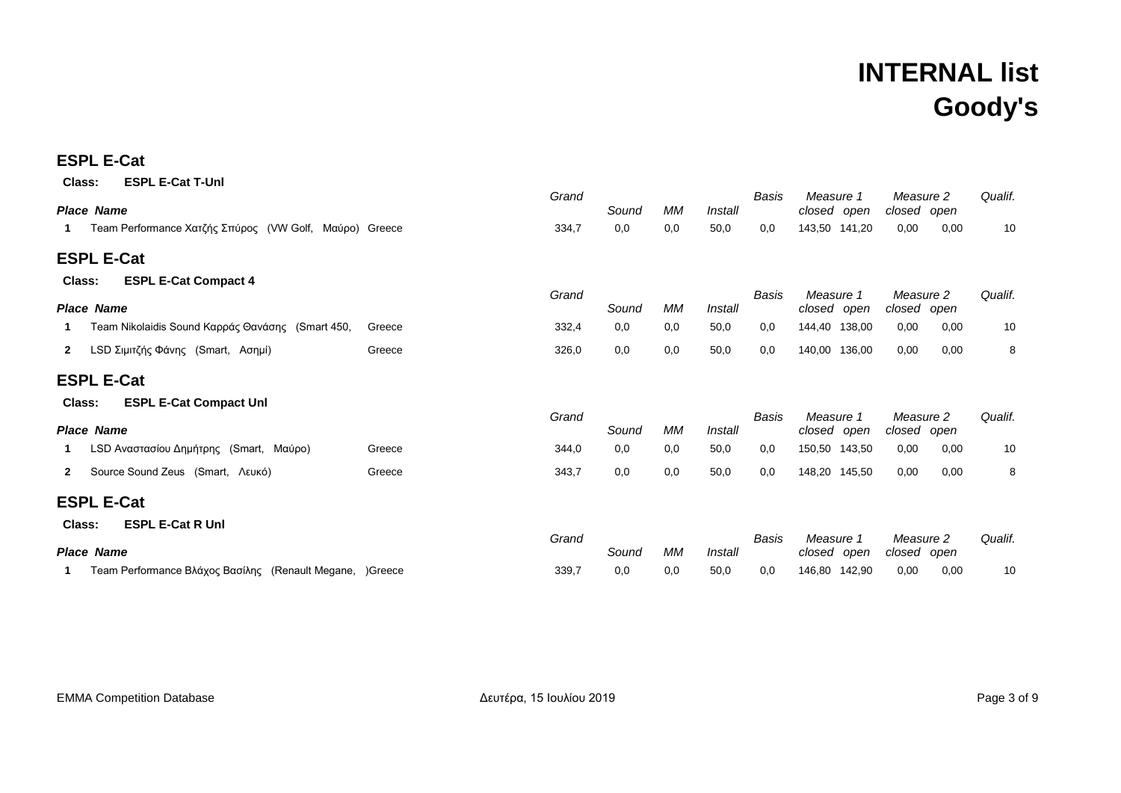### **ESPL E-Cat**

| <b>ESPL E-Cat T-Unl</b><br>Class:                              |        | Grand |       |     |         | Basis | Measure 1                |        | Measure 2                |      | Qualif. |
|----------------------------------------------------------------|--------|-------|-------|-----|---------|-------|--------------------------|--------|--------------------------|------|---------|
| <b>Place Name</b>                                              |        |       | Sound | МM  | Install |       | closed open              |        | closed open              |      |         |
| Team Performance Χατζής Σπύρος (VW Golf, Μαύρο) Greece         |        | 334,7 | 0,0   | 0,0 | 50,0    | 0,0   | 143,50 141,20            |        | 0,00                     | 0,00 | 10      |
| <b>ESPL E-Cat</b>                                              |        |       |       |     |         |       |                          |        |                          |      |         |
| <b>ESPL E-Cat Compact 4</b><br>Class:                          |        |       |       |     |         |       |                          |        |                          |      |         |
| <b>Place Name</b>                                              |        | Grand | Sound | МM  | Install | Basis | Measure 1<br>closed open |        | Measure 2<br>closed open |      | Qualif. |
| Team Nikolaidis Sound Καρράς Θανάσης (Smart 450,               | Greece | 332,4 | 0,0   | 0,0 | 50,0    | 0,0   | 144,40 138,00            |        | 0,00                     | 0,00 | 10      |
| LSD Σιμιτζής Φάνης (Smart, Ασημί)<br>2                         | Greece | 326,0 | 0,0   | 0,0 | 50,0    | 0,0   | 140,00                   | 136,00 | 0,00                     | 0.00 | 8       |
| <b>ESPL E-Cat</b>                                              |        |       |       |     |         |       |                          |        |                          |      |         |
| <b>ESPL E-Cat Compact Unl</b><br>Class:                        |        |       |       |     |         |       |                          |        |                          |      |         |
| <b>Place Name</b>                                              |        | Grand | Sound | МM  | Install | Basis | Measure 1<br>closed open |        | Measure 2<br>closed open |      | Qualif. |
| LSD Αναστασίου Δημήτρης (Smart, Μαύρο)                         | Greece | 344,0 | 0,0   | 0,0 | 50,0    | 0,0   | 150,50 143,50            |        | 0,00                     | 0,00 | 10      |
| Source Sound Zeus (Smart, Λευκό)<br>2                          | Greece | 343,7 | 0,0   | 0,0 | 50,0    | 0,0   | 148,20 145,50            |        | 0,00                     | 0,00 | 8       |
| <b>ESPL E-Cat</b>                                              |        |       |       |     |         |       |                          |        |                          |      |         |
| <b>ESPL E-Cat R Unl</b><br>Class:                              |        |       |       |     |         |       |                          |        |                          |      |         |
| <b>Place Name</b>                                              |        | Grand | Sound | МM  | Install | Basis | Measure 1<br>closed open |        | Measure 2<br>closed open |      | Qualif. |
| Team Performance Βλάχος Βασίλης (Renault Megane, )Greece<br>1. |        | 339,7 | 0,0   | 0,0 | 50,0    | 0,0   | 146,80                   | 142,90 | 0,00                     | 0,00 | 10      |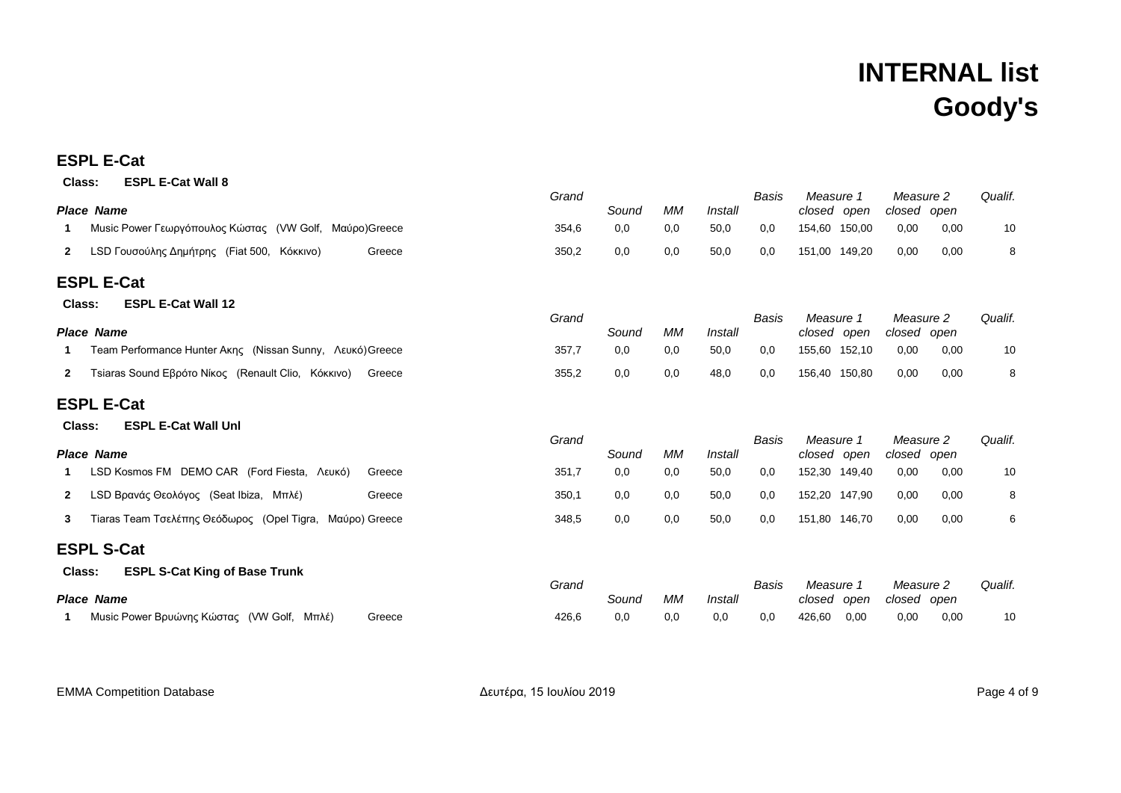### **ESPL E-Cat**

| <b>ESPL E-Cat Wall 8</b><br>Class:                                           |       |       |           |         |       |                          |      |                          |         |
|------------------------------------------------------------------------------|-------|-------|-----------|---------|-------|--------------------------|------|--------------------------|---------|
| <b>Place Name</b>                                                            | Grand | Sound | МM        | Install | Basis | Measure 1<br>closed open |      | Measure 2<br>closed open | Qualif. |
| Music Power Γεωργόπουλος Κώστας (VW Golf, Μαύρο)Greece<br>-1                 | 354,6 | 0,0   | 0,0       | 50,0    | 0,0   | 154,60 150,00            | 0,00 | 0,00                     | 10      |
| LSD Γουσούλης Δημήτρης (Fiat 500, Κόκκινο)<br>Greece<br>$\mathbf{2}$         | 350,2 | 0,0   | 0,0       | 50,0    | 0,0   | 151,00 149,20            | 0,00 | 0,00                     | 8       |
| <b>ESPL E-Cat</b>                                                            |       |       |           |         |       |                          |      |                          |         |
| <b>ESPL E-Cat Wall 12</b><br>Class:                                          |       |       |           |         |       |                          |      |                          |         |
| <b>Place Name</b>                                                            | Grand | Sound | <b>MM</b> | Install | Basis | Measure 1<br>closed open |      | Measure 2<br>closed open | Qualif. |
| Team Performance Hunter Aκης (Nissan Sunny, Λευκό) Greece<br>-1              | 357,7 | 0,0   | 0,0       | 50,0    | 0,0   | 155,60 152,10            | 0,00 | 0,00                     | 10      |
| Tsiaras Sound Εβρότο Νίκος (Renault Clio, Κόκκινο)<br>$\mathbf{2}$<br>Greece | 355,2 | 0,0   | 0,0       | 48,0    | 0,0   | 156,40 150,80            | 0,00 | 0,00                     | 8       |
| <b>ESPL E-Cat</b>                                                            |       |       |           |         |       |                          |      |                          |         |
| <b>ESPL E-Cat Wall Unl</b><br>Class:                                         |       |       |           |         |       |                          |      |                          |         |
| <b>Place Name</b>                                                            | Grand | Sound | МM        | Install | Basis | Measure 1<br>closed open |      | Measure 2<br>closed open | Qualif. |
| LSD Kosmos FM DEMO CAR (Ford Fiesta, Λευκό)<br>Greece<br>-1                  | 351,7 | 0,0   | 0,0       | 50,0    | 0,0   | 152,30 149,40            | 0,00 | 0,00                     | 10      |
| LSD Βρανάς Θεολόγος (Seat Ibiza, Μπλέ)<br>$\mathbf{2}$<br>Greece             | 350,1 | 0,0   | 0,0       | 50,0    | 0,0   | 152,20 147,90            | 0,00 | 0,00                     | 8       |
| Tiaras Team Τσελέπης Θεόδωρος (Opel Tigra, Μαύρο) Greece<br>3                | 348,5 | 0,0   | 0,0       | 50,0    | 0,0   | 151,80 146,70            | 0,00 | 0,00                     | 6       |
| <b>ESPL S-Cat</b>                                                            |       |       |           |         |       |                          |      |                          |         |
| <b>ESPL S-Cat King of Base Trunk</b><br>Class:                               |       |       |           |         |       |                          |      |                          |         |
| <b>Place Name</b>                                                            | Grand | Sound | <b>MM</b> | Install | Basis | Measure 1<br>closed open |      | Measure 2<br>closed open | Qualif. |
| Music Power Βρυώνης Κώστας (VW Golf, Μπλέ)<br>Greece                         | 426,6 | 0,0   | 0,0       | 0,0     | 0,0   | 426,60<br>0,00           | 0,00 | 0,00                     | 10      |

EMMA Competition Database **Acusas Acusas Acusas** Δευτέρα, 15 Ιουλίου 2019 **CALCE 1000** Page 4 of 9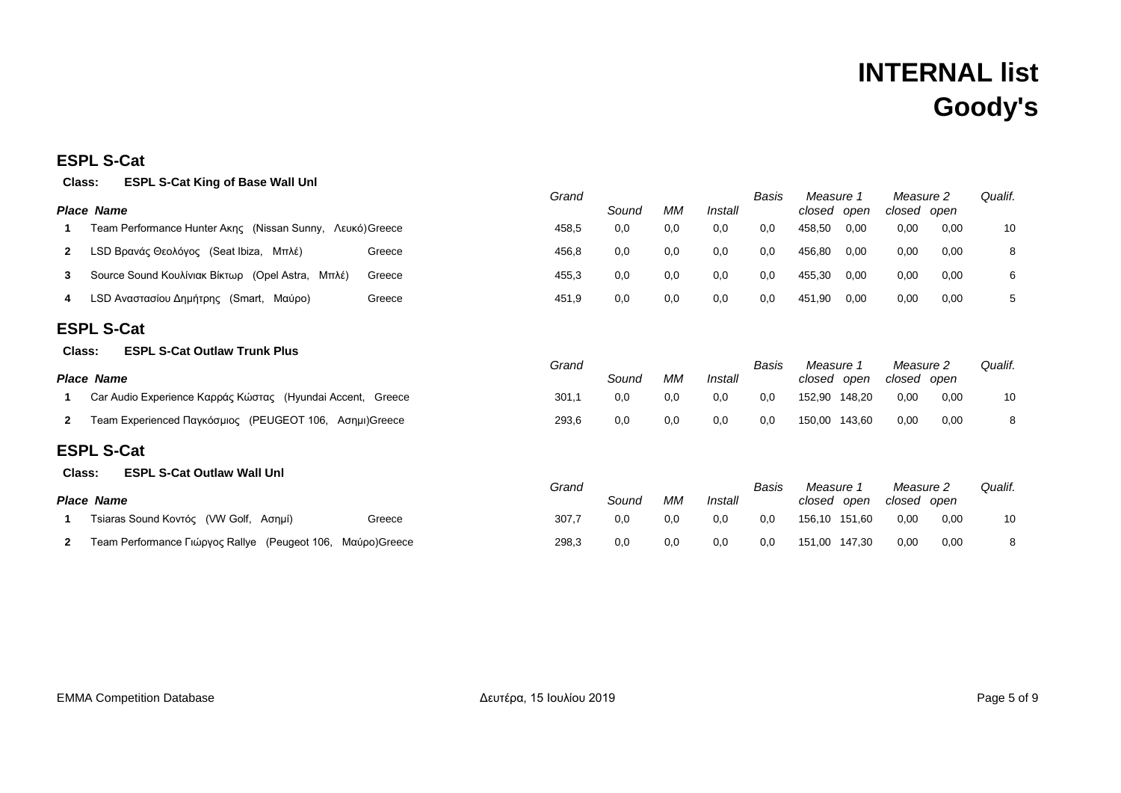### **ESPL S-Cat**

### **Class: ESPL S-Cat King of Base Wall Unl**

| viass.            | LOI L O-OGI KING OI DASC WAII ONI                            | Grand |       |     |         | Basis | Measure 1                | Measure 2                | Qualif. |
|-------------------|--------------------------------------------------------------|-------|-------|-----|---------|-------|--------------------------|--------------------------|---------|
|                   | <b>Place Name</b>                                            |       | Sound | MM  | Install |       | closed open              | closed open              |         |
|                   | Team Performance Hunter Ακης   (Nissan Sunny,   Λευκό)Greece | 458,5 | 0,0   | 0,0 | 0,0     | 0,0   | 458,50<br>0,00           | 0,00<br>0,00             | 10      |
| $\mathbf{2}$      | LSD Βρανάς Θεολόγος (Seat Ibiza, Μπλέ)<br>Greece             | 456,8 | 0,0   | 0,0 | 0,0     | 0,0   | 456,80<br>0,00           | 0,00<br>0,00             | 8       |
| 3                 | Source Sound Κουλίνιακ Βίκτωρ (Opel Astra, Μπλέ)<br>Greece   | 455,3 | 0,0   | 0,0 | 0,0     | 0,0   | 455,30<br>0,00           | 0,00<br>0,00             | 6       |
| 4                 | LSD Αναστασίου Δημήτρης (Smart, Μαύρο)<br>Greece             | 451,9 | 0,0   | 0,0 | 0,0     | 0,0   | 451,90<br>0,00           | 0,00<br>0,00             | 5       |
|                   | <b>ESPL S-Cat</b>                                            |       |       |     |         |       |                          |                          |         |
| Class:            | <b>ESPL S-Cat Outlaw Trunk Plus</b>                          |       |       |     |         |       |                          |                          |         |
|                   | <b>Place Name</b>                                            |       | Sound | MM  | Install | Basis | Measure 1<br>closed open | Measure 2<br>closed open | Qualif. |
|                   | Car Audio Experience Καρράς Κώστας (Hyundai Accent, Greece   | 301,1 | 0,0   | 0,0 | 0,0     | 0,0   | 152,90 148,20            | 0,00<br>0,00             | 10      |
| $\mathbf{2}$      | Team Experienced Παγκόσμιος (PEUGEOT 106, Ασημι) Greece      | 293,6 | 0,0   | 0,0 | 0,0     | 0,0   | 150,00 143,60            | 0,00<br>0,00             | 8       |
|                   | <b>ESPL S-Cat</b>                                            |       |       |     |         |       |                          |                          |         |
| Class:            | <b>ESPL S-Cat Outlaw Wall Unl</b>                            |       |       |     |         |       |                          |                          |         |
| <b>Place Name</b> |                                                              | Grand | Sound | МM  | Install | Basis | Measure 1<br>closed open | Measure 2<br>closed open | Qualif. |
|                   | Tsiaras Sound Κοντός   (VW Golf,   Ασημί)<br>Greece          | 307,7 | 0,0   | 0,0 | 0,0     | 0,0   | 156,10 151,60            | 0,00<br>0,00             | 10      |
| 2                 | Team Performance Γιώργος Rallye (Peugeot 106, Μαύρο)Greece   | 298,3 | 0,0   | 0,0 | 0,0     | 0,0   | 151,00 147,30            | 0,00<br>0,00             | 8       |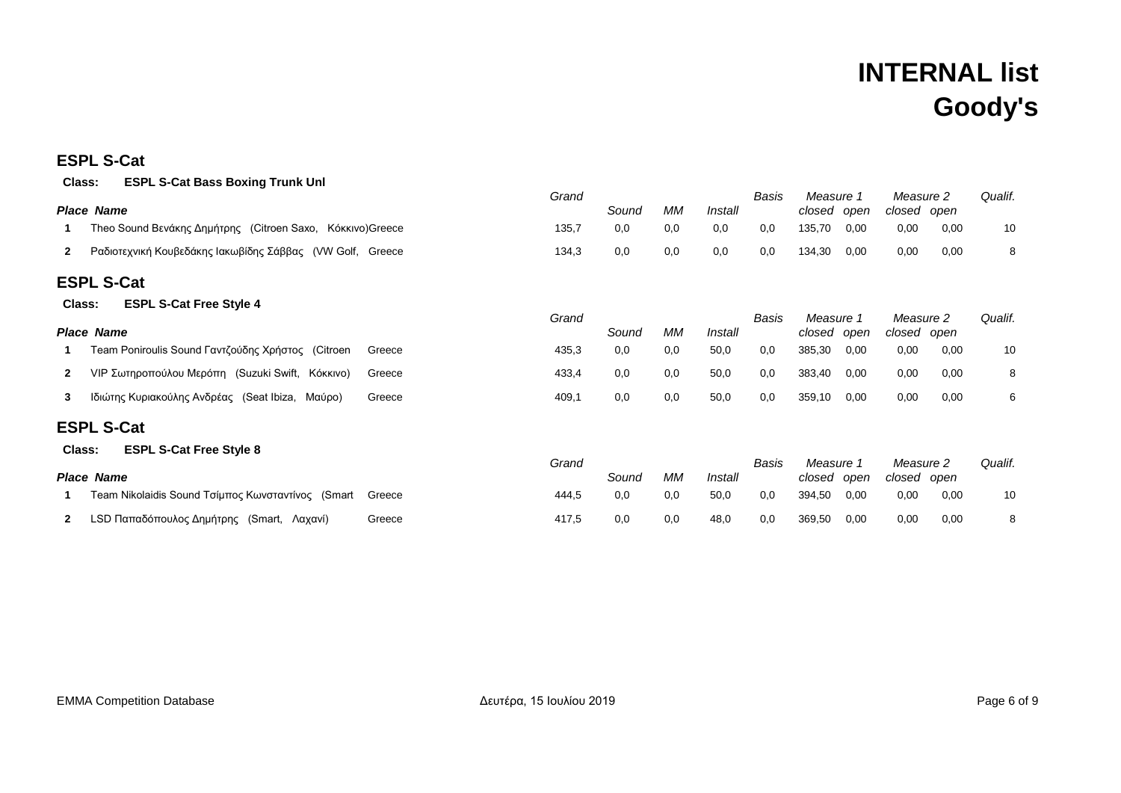### **ESPL S-Cat**

|              | <b>ESPL S-Cat Bass Boxing Trunk Unl</b><br>Class:         |        |       |       |     |         |       |                          |      |                          |      |         |
|--------------|-----------------------------------------------------------|--------|-------|-------|-----|---------|-------|--------------------------|------|--------------------------|------|---------|
|              | <b>Place Name</b>                                         |        | Grand | Sound | МM  | Install | Basis | Measure 1<br>closed open |      | Measure 2<br>closed open |      | Qualif. |
|              | Theo Sound Βενάκης Δημήτρης (Citroen Saxo, Κόκκινο)Greece |        | 135,7 | 0,0   | 0,0 | 0,0     | 0,0   | 135,70                   | 0,00 | 0,00                     | 0,00 | 10      |
|              |                                                           |        |       |       |     |         |       |                          |      |                          |      |         |
| $\mathbf{2}$ | Ραδιοτεχνική Κουβεδάκης Ιακωβίδης Σάββας (VW Golf, Greece |        | 134,3 | 0,0   | 0,0 | 0,0     | 0,0   | 134,30                   | 0,00 | 0,00                     | 0,00 | 8       |
|              | <b>ESPL S-Cat</b>                                         |        |       |       |     |         |       |                          |      |                          |      |         |
|              | <b>ESPL S-Cat Free Style 4</b><br>Class:                  |        |       |       |     |         |       |                          |      |                          |      |         |
|              |                                                           |        | Grand |       |     |         | Basis | Measure 1                |      | Measure 2                |      | Qualif. |
| Place        | Name                                                      |        |       | Sound | МM  | Install |       | closed open              |      | closed open              |      |         |
|              | Team Poniroulis Sound Γαντζούδης Χρήστος (Citroen         | Greece | 435,3 | 0,0   | 0,0 | 50,0    | 0,0   | 385,30                   | 0,00 | 0,00                     | 0,00 | 10      |
| $\mathbf{2}$ | VIP Σωτηροπούλου Μερόπη (Suzuki Swift, Κόκκινο)           | Greece | 433,4 | 0,0   | 0,0 | 50,0    | 0,0   | 383,40                   | 0,00 | 0,00                     | 0,00 | 8       |
| 3            | Ιδιώτης Κυριακούλης Ανδρέας (Seat Ibiza, Μαύρο)           | Greece | 409,1 | 0,0   | 0,0 | 50,0    | 0,0   | 359,10                   | 0,00 | 0,00                     | 0,00 | 6       |
|              | <b>ESPL S-Cat</b>                                         |        |       |       |     |         |       |                          |      |                          |      |         |
|              | <b>ESPL S-Cat Free Style 8</b><br>Class:                  |        |       |       |     |         |       |                          |      |                          |      |         |
|              |                                                           |        | Grand |       |     |         | Basis | Measure 1                |      | Measure 2                |      | Qualif. |
|              | <b>Place Name</b>                                         |        |       | Sound | МM  | Install |       | closed open              |      | closed open              |      |         |
|              | Team Nikolaidis Sound Τσίμπος Κωνσταντίνος (Smart         | Greece | 444,5 | 0,0   | 0,0 | 50,0    | 0,0   | 394,50                   | 0,00 | 0,00                     | 0,00 | 10      |
| $\mathbf{2}$ | LSD Παπαδόπουλος Δημήτρης (Smart, Λαχανί)                 | Greece | 417,5 | 0,0   | 0,0 | 48,0    | 0,0   | 369,50                   | 0,00 | 0,00                     | 0,00 | 8       |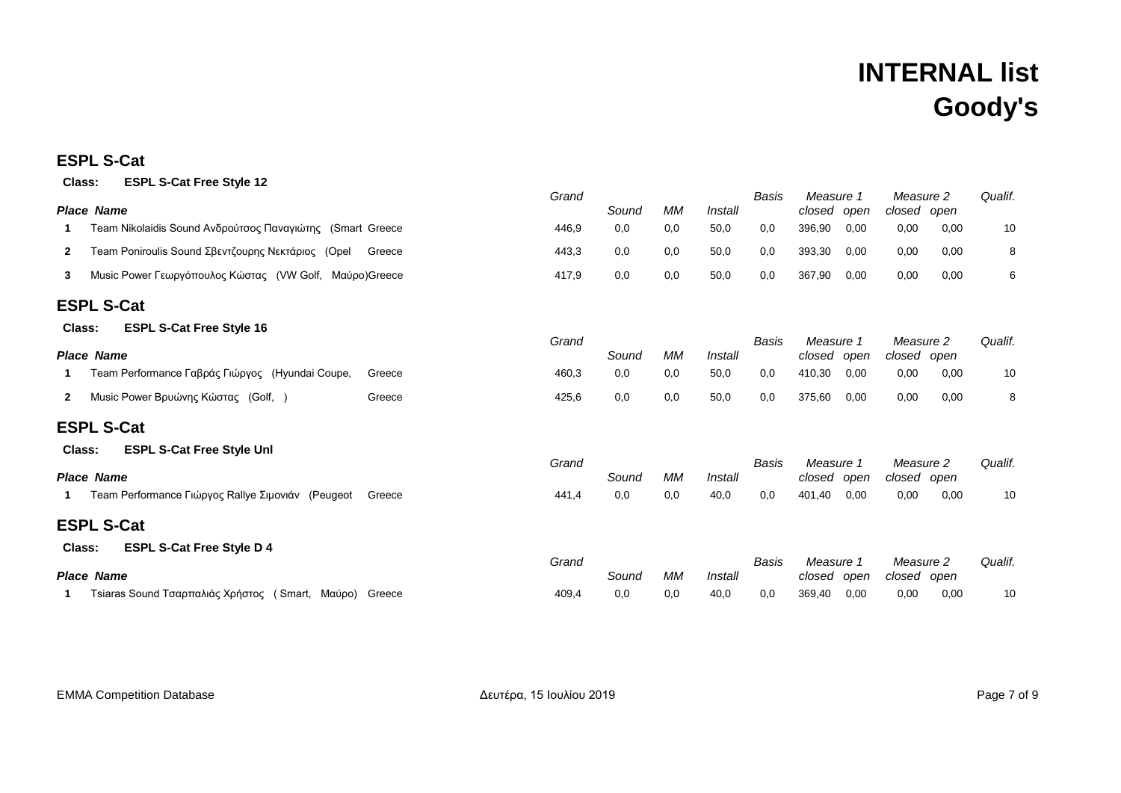#### **ESPL S-Cat**

| <b>ESPL S-Cat Free Style 12</b><br>Class:                         |        |       |       |           |         |       |                          |      |                          |      |         |
|-------------------------------------------------------------------|--------|-------|-------|-----------|---------|-------|--------------------------|------|--------------------------|------|---------|
| <b>Place Name</b>                                                 |        | Grand | Sound | <b>MM</b> | Install | Basis | Measure 1<br>closed      | open | Measure 2<br>closed open |      | Qualif. |
| Team Nikolaidis Sound Ανδρούτσος Παναγιώτης (Smart Greece<br>1    |        | 446,9 | 0,0   | 0,0       | 50,0    | 0,0   | 396,90                   | 0,00 | 0,00                     | 0,00 | 10      |
| Team Poniroulis Sound Σβεντζουρης Νεκτάριος (Opel<br>$\mathbf{2}$ | Greece | 443,3 | 0,0   | 0,0       | 50,0    | 0,0   | 393,30                   | 0,00 | 0,00                     | 0,00 | 8       |
| Music Power Γεωργόπουλος Κώστας (VW Golf, Μαύρο)Greece<br>3       |        | 417,9 | 0,0   | 0,0       | 50,0    | 0,0   | 367,90                   | 0,00 | 0,00                     | 0,00 | 6       |
| <b>ESPL S-Cat</b>                                                 |        |       |       |           |         |       |                          |      |                          |      |         |
| <b>ESPL S-Cat Free Style 16</b><br>Class:                         |        |       |       |           |         |       |                          |      |                          |      |         |
| <b>Place Name</b>                                                 |        | Grand | Sound | <b>MM</b> | Install | Basis | Measure 1<br>closed      | open | Measure 2<br>closed open |      | Qualif. |
| Team Performance Γαβράς Γιώργος (Hyundai Coupe,<br>1              | Greece | 460,3 | 0,0   | 0,0       | 50,0    | 0,0   | 410,30                   | 0,00 | 0,00                     | 0,00 | 10      |
| Music Power Βρυώνης Κώστας (Golf, )<br>$\mathbf{2}$               | Greece | 425,6 | 0,0   | 0,0       | 50,0    | 0,0   | 375,60                   | 0,00 | 0,00                     | 0.00 | 8       |
| <b>ESPL S-Cat</b>                                                 |        |       |       |           |         |       |                          |      |                          |      |         |
| <b>ESPL S-Cat Free Style Unl</b><br>Class:                        |        |       |       |           |         |       |                          |      |                          |      |         |
| Place Name                                                        |        | Grand | Sound | <b>MM</b> | Install | Basis | Measure 1<br>closed open |      | Measure 2<br>closed open |      | Qualif. |
| Team Performance Γιώργος Rallye Σιμονιάν (Peugeot<br>1            | Greece | 441,4 | 0,0   | 0,0       | 40,0    | 0,0   | 401,40                   | 0,00 | 0,00                     | 0,00 | 10      |
| <b>ESPL S-Cat</b>                                                 |        |       |       |           |         |       |                          |      |                          |      |         |
| <b>ESPL S-Cat Free Style D 4</b><br>Class:                        |        |       |       |           |         |       |                          |      |                          |      |         |
| Place Name                                                        |        | Grand | Sound | МM        | Install | Basis | Measure 1<br>closed      | open | Measure 2<br>closed open |      | Qualif. |
| Tsiaras Sound Τσαρπαλιάς Χρήστος (Smart, Μαύρο) Greece            |        | 409,4 | 0,0   | 0,0       | 40,0    | 0,0   | 369,40                   | 0,00 | 0,00                     | 0,00 | 10      |

EMMA Competition Database **Active 2019** Δευτέρα, 15 Ιουλίου 2019 **Active 2019** Page 7 of 9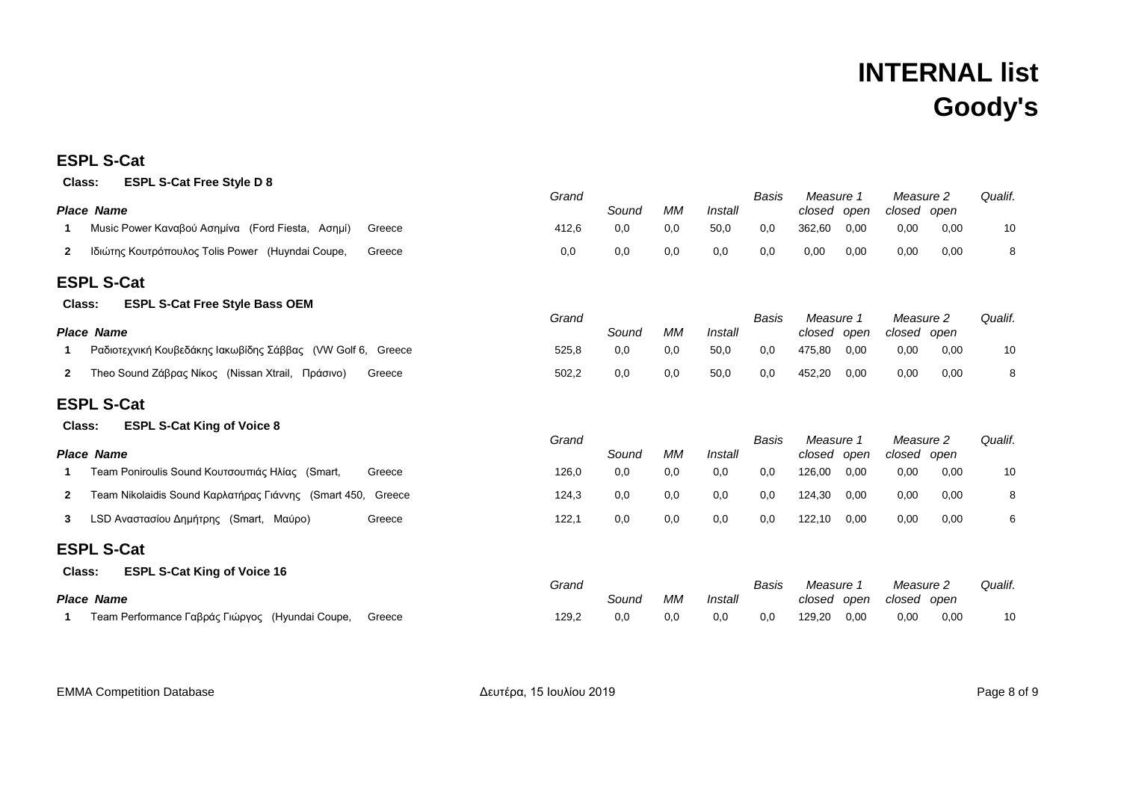#### **ESPL S-Cat**

| <b>ESPL S-Cat Free Style D 8</b><br>Class:                                  |        |       |       |           |                |       |                          |      |                          |      |         |
|-----------------------------------------------------------------------------|--------|-------|-------|-----------|----------------|-------|--------------------------|------|--------------------------|------|---------|
| <b>Place Name</b>                                                           |        | Grand | Sound | МM        | Install        | Basis | Measure 1<br>closed open |      | Measure 2<br>closed open |      | Qualif. |
| Music Power Καναβού Ασημίνα (Ford Fiesta, Ασημί)                            | Greece | 412,6 | 0,0   | 0,0       | 50,0           | 0,0   | 362,60                   | 0,00 | 0,00                     | 0,00 | 10      |
| Ιδιώτης Κουτρόπουλος Tolis Power (Huyndai Coupe,<br>$\mathbf{2}$            | Greece | 0,0   | 0,0   | 0,0       | 0,0            | 0,0   | 0,00                     | 0,00 | 0,00                     | 0,00 | 8       |
| <b>ESPL S-Cat</b>                                                           |        |       |       |           |                |       |                          |      |                          |      |         |
| <b>ESPL S-Cat Free Style Bass OEM</b><br>Class:                             |        |       |       |           |                |       |                          |      |                          |      |         |
| <b>Place Name</b>                                                           |        | Grand | Sound | МM        | Install        | Basis | Measure 1<br>closed open |      | Measure 2<br>closed open |      | Qualif. |
| Ραδιοτεχνική Κουβεδάκης Ιακωβίδης Σάββας (VW Golf 6, Greece                 |        | 525,8 | 0,0   | 0,0       | 50,0           | 0,0   | 475,80                   | 0,00 | 0,00                     | 0,00 | 10      |
| Theo Sound Ζάβρας Νίκος (Nissan Xtrail, Πράσινο)<br>$\mathbf{2}$            | Greece | 502,2 | 0,0   | 0,0       | 50,0           | 0,0   | 452,20                   | 0,00 | 0,00                     | 0,00 | 8       |
| <b>ESPL S-Cat</b>                                                           |        |       |       |           |                |       |                          |      |                          |      |         |
| <b>ESPL S-Cat King of Voice 8</b><br>Class:                                 |        |       |       |           |                |       |                          |      |                          |      |         |
| <b>Place Name</b>                                                           |        | Grand | Sound | <b>MM</b> | Install        | Basis | Measure 1<br>closed open |      | Measure 2<br>closed open |      | Qualif. |
| Team Poniroulis Sound Κουτσουπιάς Ηλίας (Smart,<br>1                        | Greece | 126,0 | 0,0   | 0,0       | 0,0            | 0,0   | 126,00                   | 0,00 | 0,00                     | 0,00 | 10      |
| Team Nikolaidis Sound Καρλατήρας Γιάννης (Smart 450, Greece<br>$\mathbf{2}$ |        | 124,3 | 0,0   | 0,0       | 0,0            | 0,0   | 124,30                   | 0,00 | 0,00                     | 0,00 | 8       |
| LSD Αναστασίου Δημήτρης (Smart, Μαύρο)<br>3                                 | Greece | 122,1 | 0,0   | 0,0       | 0,0            | 0,0   | 122,10                   | 0,00 | 0,00                     | 0,00 | 6       |
| <b>ESPL S-Cat</b>                                                           |        |       |       |           |                |       |                          |      |                          |      |         |
| <b>ESPL S-Cat King of Voice 16</b><br>Class:                                |        |       |       |           |                |       |                          |      |                          |      |         |
| <b>Place Name</b>                                                           |        | Grand | Sound | <b>MM</b> |                | Basis | Measure 1                |      | Measure 2                |      | Qualif. |
| Team Performance Γαβράς Γιώργος (Hyundai Coupe,                             | Greece | 129,2 | 0,0   | 0,0       | Install<br>0,0 | 0,0   | closed open<br>129,20    | 0,00 | closed open<br>0,00      | 0,00 | 10      |

EMMA Competition Database **Acusas Acusas Acusas** Δευτέρα, 15 Ιουλίου 2019 **CALCE 100 Δευτέρα, 15 Ιουλίου 2019 Page 8 of 9**